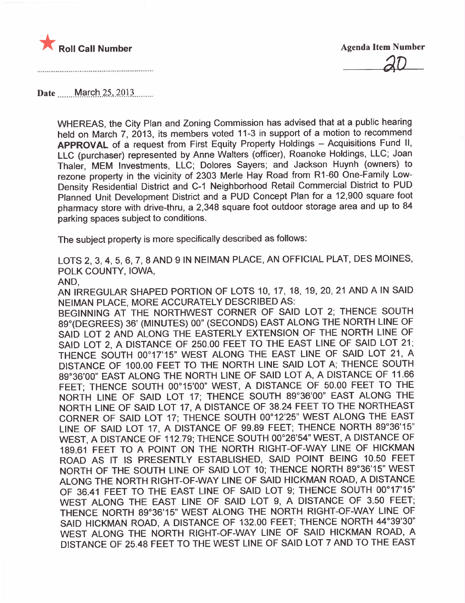

Date March 25, 2013

WHEREAS, the City Plan and Zoning Commission has advised that at a public hearing held on March 7, 2013, its members voted 11-3 in support of a motion to recommend APPROVAL of a request from First Equity Property Holdings - Acquisitions Fund II, LLC (purchaser) represented by Anne Walters (officer), Roanoke Holdings, LLC; Joan Thaler, MEM Investments, LLC; Dolores Sayers; and Jackson Huynh (owners) to rezone property in the vicinity of 2303 Merle Hay Road from R1-60 One-Family Low-Density Residential District and C-1 Neighborhood Retail Commercial District to PUD Planned Unit Development District and a PUD Concept Plan for a 12,900 square foot pharmacy store with drive-thru, a 2,348 square foot outdoor storage area and up to 84 parking spaces subject to conditions.

The subject property is more specifically described as follows:

LOTS 2, 3,4, 5, 6, 7, 8 AND 9 IN NEIMAN PLACE, AN OFFICIAL PLAT, DES MOINES, POLK COUNTY, IOWA,

AND,

AN IRREGULAR SHAPED PORTION OF LOTS 10, 17, 18, 19,20,21 AND A IN SAID NEIMAN PLACE, MORE ACCURATELY DESCRIBED AS:

BEGINNING AT THE NORTHWEST CORNER OF SAID LOT 2; THENCE SOUTH 89°(DEGREES) 36' (MINUTES) 00" (SECONDS) EAST ALONG THE NORTH LINE OF SAID LOT 2 AND ALONG THE EASTERLY EXTENSION OF THE NORTH LINE OF SAID LOT 2, A DISTANCE OF 250.00 FEET TO THE EAST LINE OF SAID LOT 21; . THENCE SOUTH 00°17'15" WEST ALONG THE EAST LINE OF SAID LOT 21, A DISTANCE OF 100.00 FEET TO THE NORTH LINE SAID LOT A; THENCE SOUTH 89°36'00" EAST ALONG THE NORTH LINE OF SAID LOT A, A DISTANCE OF 11.66 FEET; THENCE SOUTH 00°15'00" WEST, A DISTANCE OF 50.00 FEET TO THE NORTH LINE OF SAID LOT 17; THENCE SOUTH 89°36'00" EAST ALONG THE NORTH LINE OF SAID LOT 17, A DISTANCE OF 38.24 FEET TO THE NORTHEAST CORNER OF SAID LOT 17; THENCE SOUTH 00°12'25" WEST ALONG THE EAST LINE OF SAID LOT 17, A DISTANCE OF 99.89 FEET; THENCE NORTH 89°36'15" WEST, A DISTANCE OF 112.79; THENCE SOUTH 00°26'54" WEST, A DISTANCE OF 189.61 FEET TO A POINT ON THE NORTH RIGHT-OF-WAY LINE OF HICKMAN ROAD AS IT IS PRESENTLY ESTABLISHED, SAID POINT BEING 10.50 FEET NORTH OF THE SOUTH LINE OF SAID LOT 10; THENCE NORTH 89°36'15" WEST ALONG THE NORTH RIGHT-OF-WAY LINE OF SAID HICKMAN ROAD, A DISTANCE OF 36.41 FEET TO THE EAST LINE OF SAID LOT 9; THENCE SOUTH 00°17'15" WEST ALONG THE EAST LINE OF SAID LOT 9, A DISTANCE OF 3.50 FEET; THENCE NORTH 89°36'15" WEST ALONG THE NORTH RIGHT-OF-WAY LINE OF SAID HICKMAN ROAD, A DISTANCE OF 132.00 FEET; THENCE NORTH 44°39'30" WEST ALONG THE NORTH RIGHT-OF-WAY LINE OF SAID HICKMAN ROAD, A DISTANCE OF 25.48 FEET TO THE WEST LINE OF SAID LOT 7 AND TO THE EAST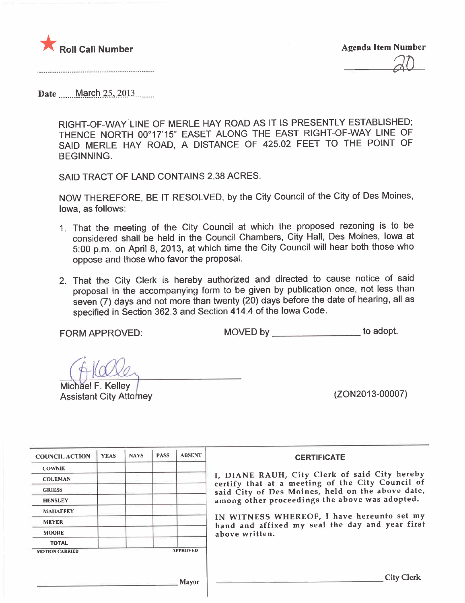

Date March 25, 2013

RIGHT-OF-WAYLINE OF MERLE HAY ROAD AS IT IS PRESENTLY ESTABLISHED; THENCE NORTH 00°17'15" EASET ALONG THE EAST RIGHT-OF-WAY LINE OF SAID MERLE HAY ROAD, A DISTANCE OF 425.02 FEET TO THE POINT OF BEGINNING.

SAID TRACT OF LAND CONTAINS 2.38 ACRES.

NOW THEREFORE, BE IT RESOLVED, by the City Council of the City of Des Moines, Iowa, as follows:

- 1. That the meeting of the City Council at which the proposed rezoning is to be considered shall be held in the Council Chambers, City Hall, Des Moines, Iowa at 5:00 p.m. on April 8, 2013, at which time the City Council will hear both those who oppose and those who favor the proposaL.
- 2. That the City Clerk is hereby authorized and directed to cause notice of said proposal in the accompanying form to be given by publication once, not less than seven (7) days and not more than twenty (20) days before the date of hearing, all as specified in Section 362.3 and Section 414.4 of the Iowa Code.

FORM APPROVED: MOVED by to adopt.

~~<sup>Î</sup> Assistant City Atto ney (ZON2013-00007) Michael F. Kelley

| <b>COUNCIL ACTION</b> | <b>YEAS</b> | <b>NAYS</b> | <b>PASS</b> | <b>ABSENT</b>   | <b>CERTIFICATE</b>                                                                                |
|-----------------------|-------------|-------------|-------------|-----------------|---------------------------------------------------------------------------------------------------|
| <b>COWNIE</b>         |             |             |             |                 |                                                                                                   |
| <b>COLEMAN</b>        |             |             |             |                 | I, DIANE RAUH, City Clerk of said City hereby<br>certify that at a meeting of the City Council of |
| <b>GRIESS</b>         |             |             |             |                 | said City of Des Moines, held on the above date,                                                  |
| <b>HENSLEY</b>        |             |             |             |                 | among other proceedings the above was adopted.                                                    |
| <b>MAHAFFEY</b>       |             |             |             |                 |                                                                                                   |
| <b>MEYER</b>          |             |             |             |                 | IN WITNESS WHEREOF, I have hereunto set my<br>hand and affixed my seal the day and year first     |
| <b>MOORE</b>          |             |             |             |                 | above written.                                                                                    |
| <b>TOTAL</b>          |             |             |             |                 |                                                                                                   |
| <b>MOTION CARRIED</b> |             |             |             | <b>APPROVED</b> |                                                                                                   |
|                       |             |             |             | Mayor           | <b>City Clerk</b>                                                                                 |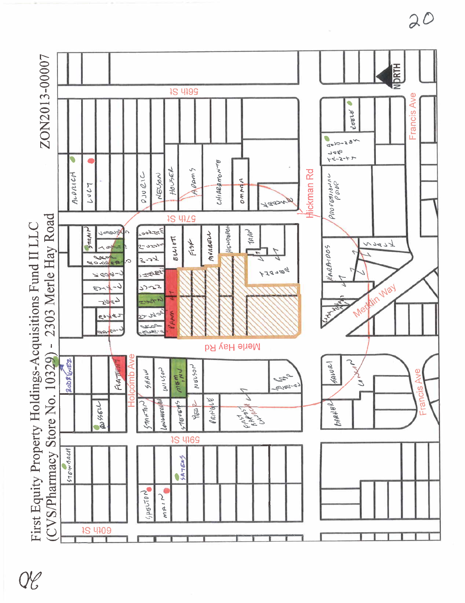

 $\mathcal{H}% _{G}=\mathcal{H}_{G}$ 

 $20$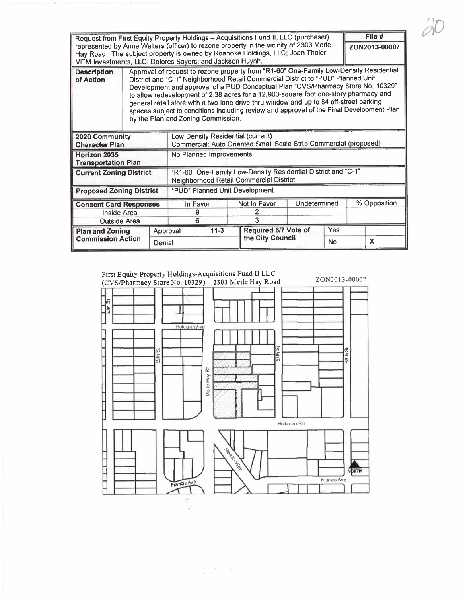|                                                                                                                                                                          |                                                                                        |                                                                   |                                                                                                                                                                          |                                                                                          |                  |     |               | File # |  |
|--------------------------------------------------------------------------------------------------------------------------------------------------------------------------|----------------------------------------------------------------------------------------|-------------------------------------------------------------------|--------------------------------------------------------------------------------------------------------------------------------------------------------------------------|------------------------------------------------------------------------------------------|------------------|-----|---------------|--------|--|
| Request from First Equity Property Holdings - Acquisitions Fund II, LLC (purchaser)                                                                                      |                                                                                        |                                                                   |                                                                                                                                                                          |                                                                                          |                  |     |               |        |  |
| represented by Anne Walters (officer) to rezone property in the vicinity of 2303 Merle<br>Hay Road. The subject property is owned by Roanoke Holdings, LLC; Joan Thaler, |                                                                                        |                                                                   |                                                                                                                                                                          |                                                                                          |                  |     | ZON2013-00007 |        |  |
|                                                                                                                                                                          |                                                                                        |                                                                   |                                                                                                                                                                          |                                                                                          |                  |     |               |        |  |
| MEM Investments, LLC; Dolores Sayers; and Jackson Huynh.                                                                                                                 |                                                                                        |                                                                   |                                                                                                                                                                          |                                                                                          |                  |     |               |        |  |
| <b>Description</b>                                                                                                                                                       | Approval of request to rezone property from "R1-60" One-Family Low-Density Residential |                                                                   |                                                                                                                                                                          |                                                                                          |                  |     |               |        |  |
| of Action                                                                                                                                                                |                                                                                        |                                                                   | District and "C-1" Neighborhood Retail Commercial District to "PUD" Planned Unit                                                                                         |                                                                                          |                  |     |               |        |  |
|                                                                                                                                                                          |                                                                                        |                                                                   | Development and approval of a PUD Conceptual Plan "CVS/Pharmacy Store No. 10329"<br>to allow redevelopment of 2.38 acres for a 12,900-square foot one-story pharmacy and |                                                                                          |                  |     |               |        |  |
|                                                                                                                                                                          |                                                                                        |                                                                   |                                                                                                                                                                          |                                                                                          |                  |     |               |        |  |
|                                                                                                                                                                          |                                                                                        |                                                                   |                                                                                                                                                                          | general retail store with a two-lane drive-thru window and up to 84 off-street parking   |                  |     |               |        |  |
|                                                                                                                                                                          |                                                                                        |                                                                   |                                                                                                                                                                          | spaces subject to conditions including review and approval of the Final Development Plan |                  |     |               |        |  |
|                                                                                                                                                                          |                                                                                        |                                                                   | by the Plan and Zoning Commission.                                                                                                                                       |                                                                                          |                  |     |               |        |  |
|                                                                                                                                                                          |                                                                                        |                                                                   |                                                                                                                                                                          |                                                                                          |                  |     |               |        |  |
| 2020 Community                                                                                                                                                           |                                                                                        | Low-Density Residential (current)                                 |                                                                                                                                                                          |                                                                                          |                  |     |               |        |  |
| <b>Character Plan</b>                                                                                                                                                    |                                                                                        | Commercial: Auto Oriented Small Scale Strip Commercial (proposed) |                                                                                                                                                                          |                                                                                          |                  |     |               |        |  |
| Horizon 2035                                                                                                                                                             |                                                                                        |                                                                   | No Planned Improvements                                                                                                                                                  |                                                                                          |                  |     |               |        |  |
| <b>Transportation Plan</b>                                                                                                                                               |                                                                                        |                                                                   |                                                                                                                                                                          |                                                                                          |                  |     |               |        |  |
| <b>Current Zoning District</b>                                                                                                                                           |                                                                                        | "R1-60" One-Family Low-Density Residential District and "C-1"     |                                                                                                                                                                          |                                                                                          |                  |     |               |        |  |
|                                                                                                                                                                          |                                                                                        | Neighborhood Retail Commercial District                           |                                                                                                                                                                          |                                                                                          |                  |     |               |        |  |
| <b>Proposed Zoning District</b>                                                                                                                                          |                                                                                        | "PUD" Planned Unit Development                                    |                                                                                                                                                                          |                                                                                          |                  |     |               |        |  |
|                                                                                                                                                                          |                                                                                        |                                                                   |                                                                                                                                                                          |                                                                                          |                  |     |               |        |  |
| <b>Consent Card Responses</b>                                                                                                                                            |                                                                                        |                                                                   | In Favor                                                                                                                                                                 | Not In Favor                                                                             | Undetermined     |     | % Opposition  |        |  |
| Inside Area                                                                                                                                                              |                                                                                        |                                                                   | 9                                                                                                                                                                        |                                                                                          |                  |     |               |        |  |
| <b>Outside Area</b>                                                                                                                                                      |                                                                                        |                                                                   | 6                                                                                                                                                                        |                                                                                          |                  |     |               |        |  |
| <b>Plan and Zoning</b>                                                                                                                                                   |                                                                                        | Approval                                                          | $11-3$                                                                                                                                                                   | Required 6/7 Vote of                                                                     |                  | Yes |               |        |  |
| <b>Commission Action</b>                                                                                                                                                 |                                                                                        |                                                                   |                                                                                                                                                                          |                                                                                          | the City Council |     |               |        |  |
| Denial                                                                                                                                                                   |                                                                                        |                                                                   |                                                                                                                                                                          |                                                                                          | No               |     |               | X      |  |

 $\partial\mathcal{C}$ 



 $\approx 10^2-1$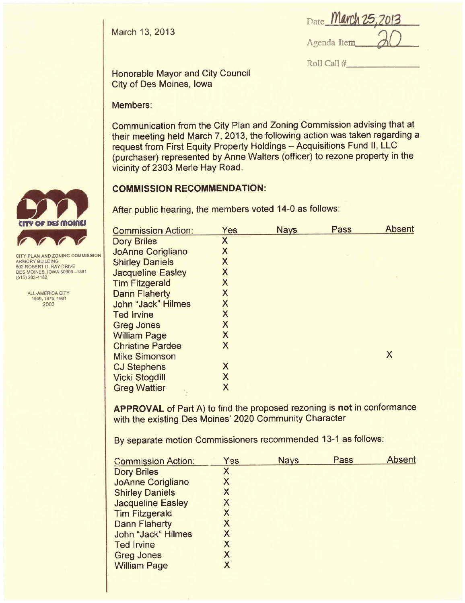March 13, 2013

| Date March 25, 2013 |  |
|---------------------|--|
| لمالك ومرجوده       |  |

Agenda Item 0

Roll Call #

Honorable Mayor and City Council City of Des Moines, Iowa

Members:

Communication from the City Plan and Zoning Commission advising that at their meeting held March 7, 2013, the following action was taken regarding a request from First Equity Property Holdings - Acquisitions Fund II, LLC (purchaser) represented by Anne Walters (officer) to rezone property in the vicinity of 2303 Merle Hay Road.

## **COMMISSION RECOMMENDATION:**

After public hearing, the members voted 14-0 as follows:

| <b>Commission Action:</b> | Yes                     | <b>Nays</b> | Pass | <b>Absent</b> |
|---------------------------|-------------------------|-------------|------|---------------|
| <b>Dory Briles</b>        | X                       |             |      |               |
| <b>JoAnne Corigliano</b>  | X                       |             |      |               |
| <b>Shirley Daniels</b>    | X                       |             |      |               |
| <b>Jacqueline Easley</b>  | X                       |             |      |               |
| <b>Tim Fitzgerald</b>     | $\overline{\mathsf{X}}$ |             |      |               |
| <b>Dann Flaherty</b>      | X                       |             |      |               |
| <b>John "Jack" Hilmes</b> | X                       |             |      |               |
| <b>Ted Irvine</b>         | X                       |             |      |               |
| <b>Greg Jones</b>         | X                       |             |      |               |
| <b>William Page</b>       | X                       |             |      |               |
| <b>Christine Pardee</b>   | X                       |             |      |               |
| <b>Mike Simonson</b>      |                         |             |      | X             |
| <b>CJ Stephens</b>        | X                       |             |      |               |
| <b>Vicki Stogdill</b>     | X                       |             |      |               |
| <b>Greg Wattier</b>       | X                       |             |      |               |
|                           |                         |             |      |               |

APPROVAL of Part A) to find the proposed rezoning is not in conformance with the existing Des Moines' 2020 Community Character

By separate motion Commissioners recommended 13-1 as follows:

| <b>Commission Action:</b> | Yes | <b>Nays</b> | Pass | <b>Absent</b> |
|---------------------------|-----|-------------|------|---------------|
| <b>Dory Briles</b>        | X   |             |      |               |
| <b>JoAnne Corigliano</b>  | X   |             |      |               |
| <b>Shirley Daniels</b>    | X   |             |      |               |
| <b>Jacqueline Easley</b>  | X   |             |      |               |
| <b>Tim Fitzgerald</b>     | Χ   |             |      |               |
| <b>Dann Flaherty</b>      | Х   |             |      |               |
| John "Jack" Hilmes        | X   |             |      |               |
| <b>Ted Irvine</b>         | Χ   |             |      |               |
| <b>Greg Jones</b>         | Χ   |             |      |               |
| <b>William Page</b>       | Χ   |             |      |               |
|                           |     |             |      |               |



ARMORY BUILDING 602 ROBERT D. RAY DRIVE DES MOINES, IOWA 50309-1881 (515) 283-4182

ALL-AMERICA CITY 1949,1976,1981 2003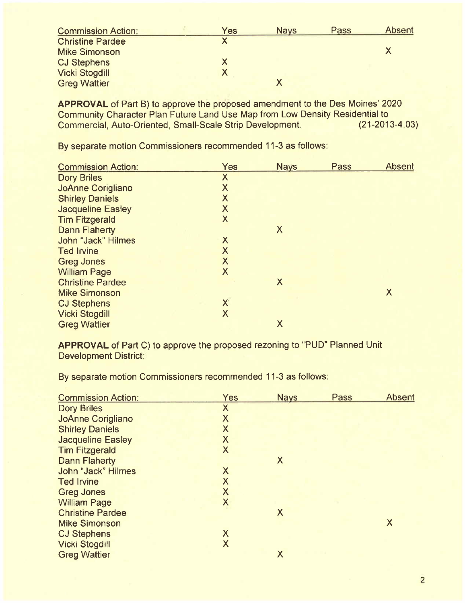| <b>Commission Action:</b> | Yes | <b>Nays</b> | Pass | Absent |
|---------------------------|-----|-------------|------|--------|
| <b>Christine Pardee</b>   |     |             |      |        |
| <b>Mike Simonson</b>      |     |             |      |        |
| <b>CJ Stephens</b>        |     |             |      |        |
| <b>Vicki Stogdill</b>     |     |             |      |        |
| <b>Greg Wattier</b>       |     |             |      |        |

APPROVAL of Part B) to approve the proposed amendment to the Des Moines' 2020 Community Character Plan Future Land Use Map from Low Density Residential to<br>Commercial, Auto-Oriented, Small-Scale Strip Development. (21-2013-4.03) Commercial, Auto-Oriented, Small-Scale Strip Development.

By separate motion Commissioners recommended 11-3 as follows:

| <b>Commission Action:</b> | <b>Yes</b>                | <b>Nays</b> | <b>Pass</b> | <b>Absent</b> |
|---------------------------|---------------------------|-------------|-------------|---------------|
| <b>Dory Briles</b>        | X                         |             |             |               |
| <b>JoAnne Corigliano</b>  | $\boldsymbol{\mathsf{X}}$ |             |             |               |
| <b>Shirley Daniels</b>    | X                         |             |             |               |
| <b>Jacqueline Easley</b>  | X                         |             |             |               |
| <b>Tim Fitzgerald</b>     | $\boldsymbol{X}$          |             |             |               |
| <b>Dann Flaherty</b>      |                           | X           |             |               |
| John "Jack" Hilmes        | X                         |             |             |               |
| <b>Ted Irvine</b>         | $\sf X$                   |             |             |               |
| <b>Greg Jones</b>         | X                         |             |             |               |
| <b>William Page</b>       | X                         |             |             |               |
| <b>Christine Pardee</b>   |                           | $\sf X$     |             |               |
| <b>Mike Simonson</b>      |                           |             |             | X             |
| <b>CJ Stephens</b>        | $\mathsf{X}$              |             |             |               |
| <b>Vicki Stogdill</b>     | X                         |             |             |               |
| <b>Greg Wattier</b>       |                           | X           |             |               |
|                           |                           |             |             |               |

APPROVAL of Part C) to approve the proposed rezoning to "PUD" Planned Unit Development District:

By separate motion Commissioners recommended 11-3 as follows:

| <b>Commission Action:</b> | <b>Yes</b>                | <b>Nays</b>               | Pass | <b>Absent</b> |
|---------------------------|---------------------------|---------------------------|------|---------------|
| <b>Dory Briles</b>        | $\boldsymbol{\mathsf{X}}$ |                           |      |               |
| <b>JoAnne Corigliano</b>  | X                         |                           |      |               |
| <b>Shirley Daniels</b>    | X                         |                           |      |               |
| <b>Jacqueline Easley</b>  | X                         |                           |      |               |
| <b>Tim Fitzgerald</b>     | $\boldsymbol{X}$          |                           |      |               |
| <b>Dann Flaherty</b>      |                           | $\boldsymbol{\mathsf{X}}$ |      |               |
| John "Jack" Hilmes        | $\boldsymbol{\mathsf{X}}$ |                           |      |               |
| <b>Ted Irvine</b>         | X                         |                           |      |               |
| <b>Greg Jones</b>         | $\sf X$                   |                           |      |               |
| <b>William Page</b>       | $\mathsf{X}$              |                           |      |               |
| <b>Christine Pardee</b>   |                           | X                         |      |               |
| <b>Mike Simonson</b>      |                           |                           |      | X             |
| <b>CJ Stephens</b>        | X                         |                           |      |               |
| <b>Vicki Stogdill</b>     | $\boldsymbol{\mathsf{X}}$ |                           |      |               |
| <b>Greg Wattier</b>       |                           | X                         |      |               |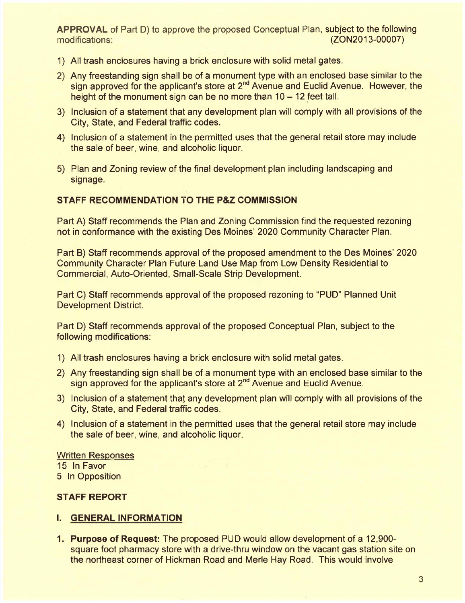APPROVAL of Part D) to approve the proposed Conceptual Plan, subject to the following modifications: (ZON2013-00007)

- 1) All trash enclosures having a brick enclosure with solid metal gates.
- 2) Any freestanding sign shall be of a monument type with an enclosed base similar to the sign approved for the applicant's store at 2<sup>nd</sup> Avenue and Euclid Avenue. However, the height of the monument sign can be no more than  $10 - 12$  feet tall.
- 3) Inclusion of a statement that any development plan will comply with all provisions of the City, State, and Federal traffic codes.
- 4) Inclusion of a statement in the permitted uses that the general retail store may include the sale of beer, wine, and alcoholic liquor.
- 5) Plan and Zoning review of the final development plan including landscaping and signage.

## STAFF RECOMMENDATION TO THE P&Z COMMISSION

Part A) Staff recommends the Plan and Zoning Commission find the requested rezoning not in conformance with the existing Des Moines' 2020 Community Character Plan.

Part B) Staff recommends approval of the proposed amendment to the Des Moines' 2020 Community Character Plan Future Land Use Map from Low Density Residential to Commercial, Auto-Oriented, Small-Scale Strip Development.

Part C) Staff recommends approval of the proposed rezoning to "PUD" Planned Unit Development District.

Part D) Staff recommends approval of the proposed Conceptual Plan, subject to the following modifications:

- 1) All trash enclosures having a brick enclosure with solid metal gates.
- 2) Any freestanding sign shall be of a monument type with an enclosed base similar to the sign approved for the applicant's store at 2<sup>nd</sup> Avenue and Euclid Avenue.
- 3) Inclusion of a statement that any development plan will comply with all provisions of the City, State, and Federal traffic codes.
- 4) Inclusion of a statement in the permitted uses that the general retail store may include the sale of beer, wine, and alcoholic liquor.

**Written Responses** 15 In Favor 5 In Opposition

## STAFF REPORT

## i. GENERAL INFORMATION

1. Purpose of Request: The proposed PUD would allow development of a 12,900 square foot pharmacy store with a drive-thru window on the vacant gas station site on the northeast corner of Hickman Road and Merle Hay Road. This would involve